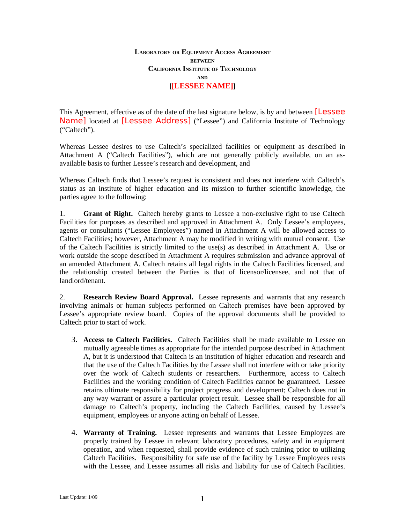## **LABORATORY OR EQUIPMENT ACCESS AGREEMENT BETWEEN CALIFORNIA INSTITUTE OF TECHNOLOGY AND [[LESSEE NAME]]**

This Agreement, effective as of the date of the last signature below, is by and between [Lessee] Name] located at [Lessee Address] ("Lessee") and California Institute of Technology ("Caltech").

Whereas Lessee desires to use Caltech's specialized facilities or equipment as described in Attachment A ("Caltech Facilities"), which are not generally publicly available, on an asavailable basis to further Lessee's research and development, and

Whereas Caltech finds that Lessee's request is consistent and does not interfere with Caltech's status as an institute of higher education and its mission to further scientific knowledge, the parties agree to the following:

1. **Grant of Right.** Caltech hereby grants to Lessee a non-exclusive right to use Caltech Facilities for purposes as described and approved in Attachment A. Only Lessee's employees, agents or consultants ("Lessee Employees") named in Attachment A will be allowed access to Caltech Facilities; however, Attachment A may be modified in writing with mutual consent. Use of the Caltech Facilities is strictly limited to the use(s) as described in Attachment A. Use or work outside the scope described in Attachment A requires submission and advance approval of an amended Attachment A. Caltech retains all legal rights in the Caltech Facilities licensed, and the relationship created between the Parties is that of licensor/licensee, and not that of landlord/tenant.

2. **Research Review Board Approval.** Lessee represents and warrants that any research involving animals or human subjects performed on Caltech premises have been approved by Lessee's appropriate review board. Copies of the approval documents shall be provided to Caltech prior to start of work.

- 3. **Access to Caltech Facilities.** Caltech Facilities shall be made available to Lessee on mutually agreeable times as appropriate for the intended purpose described in Attachment A, but it is understood that Caltech is an institution of higher education and research and that the use of the Caltech Facilities by the Lessee shall not interfere with or take priority over the work of Caltech students or researchers. Furthermore, access to Caltech Facilities and the working condition of Caltech Facilities cannot be guaranteed. Lessee retains ultimate responsibility for project progress and development; Caltech does not in any way warrant or assure a particular project result. Lessee shall be responsible for all damage to Caltech's property, including the Caltech Facilities, caused by Lessee's equipment, employees or anyone acting on behalf of Lessee.
- 4. **Warranty of Training.** Lessee represents and warrants that Lessee Employees are properly trained by Lessee in relevant laboratory procedures, safety and in equipment operation, and when requested, shall provide evidence of such training prior to utilizing Caltech Facilities. Responsibility for safe use of the facility by Lessee Employees rests with the Lessee, and Lessee assumes all risks and liability for use of Caltech Facilities.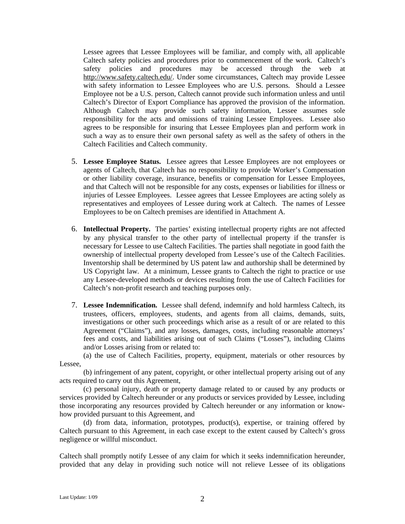Lessee agrees that Lessee Employees will be familiar, and comply with, all applicable Caltech safety policies and procedures prior to commencement of the work. Caltech's safety policies and procedures may be accessed through the web at [http://www.safety.caltech.edu/.](http://www.safety.caltech.edu/) Under some circumstances, Caltech may provide Lessee with safety information to Lessee Employees who are U.S. persons. Should a Lessee Employee not be a U.S. person, Caltech cannot provide such information unless and until Caltech's Director of Export Compliance has approved the provision of the information. Although Caltech may provide such safety information, Lessee assumes sole responsibility for the acts and omissions of training Lessee Employees. Lessee also agrees to be responsible for insuring that Lessee Employees plan and perform work in such a way as to ensure their own personal safety as well as the safety of others in the Caltech Facilities and Caltech community.

- 5. **Lessee Employee Status.** Lessee agrees that Lessee Employees are not employees or agents of Caltech, that Caltech has no responsibility to provide Worker's Compensation or other liability coverage, insurance, benefits or compensation for Lessee Employees, and that Caltech will not be responsible for any costs, expenses or liabilities for illness or injuries of Lessee Employees. Lessee agrees that Lessee Employees are acting solely as representatives and employees of Lessee during work at Caltech. The names of Lessee Employees to be on Caltech premises are identified in Attachment A.
- 6. **Intellectual Property.** The parties' existing intellectual property rights are not affected by any physical transfer to the other party of intellectual property if the transfer is necessary for Lessee to use Caltech Facilities. The parties shall negotiate in good faith the ownership of intellectual property developed from Lessee's use of the Caltech Facilities. Inventorship shall be determined by US patent law and authorship shall be determined by US Copyright law. At a minimum, Lessee grants to Caltech the right to practice or use any Lessee-developed methods or devices resulting from the use of Caltech Facilities for Caltech's non-profit research and teaching purposes only.
- 7. **Lessee Indemnification.** Lessee shall defend, indemnify and hold harmless Caltech, its trustees, officers, employees, students, and agents from all claims, demands, suits, investigations or other such proceedings which arise as a result of or are related to this Agreement ("Claims"), and any losses, damages, costs, including reasonable attorneys' fees and costs, and liabilities arising out of such Claims ("Losses"), including Claims and/or Losses arising from or related to:

(a) the use of Caltech Facilities, property, equipment, materials or other resources by Lessee,

(b) infringement of any patent, copyright, or other intellectual property arising out of any acts required to carry out this Agreement,

(c) personal injury, death or property damage related to or caused by any products or services provided by Caltech hereunder or any products or services provided by Lessee, including those incorporating any resources provided by Caltech hereunder or any information or knowhow provided pursuant to this Agreement, and

(d) from data, information, prototypes, product(s), expertise, or training offered by Caltech pursuant to this Agreement, in each case except to the extent caused by Caltech's gross negligence or willful misconduct.

Caltech shall promptly notify Lessee of any claim for which it seeks indemnification hereunder, provided that any delay in providing such notice will not relieve Lessee of its obligations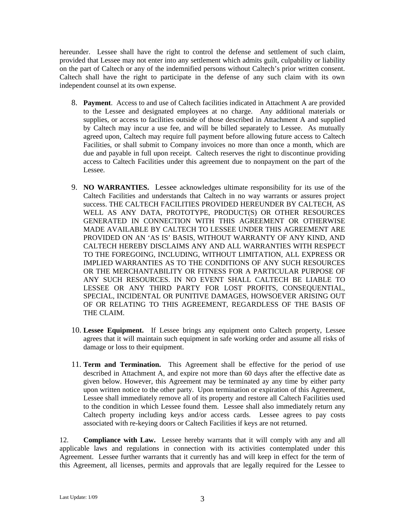hereunder. Lessee shall have the right to control the defense and settlement of such claim, provided that Lessee may not enter into any settlement which admits guilt, culpability or liability on the part of Caltech or any of the indemnified persons without Caltech's prior written consent. Caltech shall have the right to participate in the defense of any such claim with its own independent counsel at its own expense.

- 8. **Payment**. Access to and use of Caltech facilities indicated in Attachment A are provided to the Lessee and designated employees at no charge. Any additional materials or supplies, or access to facilities outside of those described in Attachment A and supplied by Caltech may incur a use fee, and will be billed separately to Lessee. As mutually agreed upon, Caltech may require full payment before allowing future access to Caltech Facilities, or shall submit to Company invoices no more than once a month, which are due and payable in full upon receipt. Caltech reserves the right to discontinue providing access to Caltech Facilities under this agreement due to nonpayment on the part of the Lessee.
- 9. **NO WARRANTIES.** Lessee acknowledges ultimate responsibility for its use of the Caltech Facilities and understands that Caltech in no way warrants or assures project success. THE CALTECH FACILITIES PROVIDED HEREUNDER BY CALTECH, AS WELL AS ANY DATA, PROTOTYPE, PRODUCT(S) OR OTHER RESOURCES GENERATED IN CONNECTION WITH THIS AGREEMENT OR OTHERWISE MADE AVAILABLE BY CALTECH TO LESSEE UNDER THIS AGREEMENT ARE PROVIDED ON AN 'AS IS' BASIS, WITHOUT WARRANTY OF ANY KIND, AND CALTECH HEREBY DISCLAIMS ANY AND ALL WARRANTIES WITH RESPECT TO THE FOREGOING, INCLUDING, WITHOUT LIMITATION, ALL EXPRESS OR IMPLIED WARRANTIES AS TO THE CONDITIONS OF ANY SUCH RESOURCES OR THE MERCHANTABILITY OR FITNESS FOR A PARTICULAR PURPOSE OF ANY SUCH RESOURCES. IN NO EVENT SHALL CALTECH BE LIABLE TO LESSEE OR ANY THIRD PARTY FOR LOST PROFITS, CONSEQUENTIAL, SPECIAL, INCIDENTAL OR PUNITIVE DAMAGES, HOWSOEVER ARISING OUT OF OR RELATING TO THIS AGREEMENT, REGARDLESS OF THE BASIS OF THE CLAIM.
- 10. **Lessee Equipment.** If Lessee brings any equipment onto Caltech property, Lessee agrees that it will maintain such equipment in safe working order and assume all risks of damage or loss to their equipment.
- 11. **Term and Termination.** This Agreement shall be effective for the period of use described in Attachment A, and expire not more than 60 days after the effective date as given below. However, this Agreement may be terminated ay any time by either party upon written notice to the other party. Upon termination or expiration of this Agreement, Lessee shall immediately remove all of its property and restore all Caltech Facilities used to the condition in which Lessee found them. Lessee shall also immediately return any Caltech property including keys and/or access cards. Lessee agrees to pay costs associated with re-keying doors or Caltech Facilities if keys are not returned.

12. **Compliance with Law.** Lessee hereby warrants that it will comply with any and all applicable laws and regulations in connection with its activities contemplated under this Agreement. Lessee further warrants that it currently has and will keep in effect for the term of this Agreement, all licenses, permits and approvals that are legally required for the Lessee to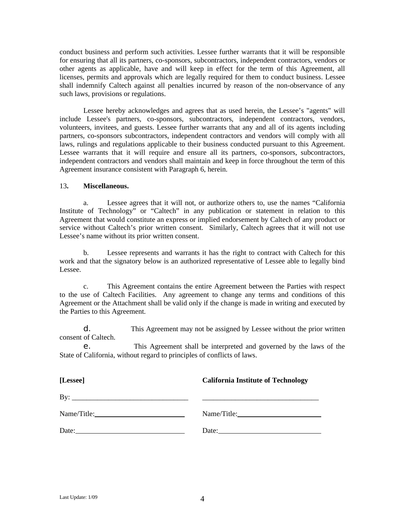conduct business and perform such activities. Lessee further warrants that it will be responsible for ensuring that all its partners, co-sponsors, subcontractors, independent contractors, vendors or other agents as applicable, have and will keep in effect for the term of this Agreement, all licenses, permits and approvals which are legally required for them to conduct business. Lessee shall indemnify Caltech against all penalties incurred by reason of the non-observance of any such laws, provisions or regulations.

Lessee hereby acknowledges and agrees that as used herein, the Lessee's "agents" will include Lessee's partners, co-sponsors, subcontractors, independent contractors, vendors, volunteers, invitees, and guests. Lessee further warrants that any and all of its agents including partners, co-sponsors subcontractors, independent contractors and vendors will comply with all laws, rulings and regulations applicable to their business conducted pursuant to this Agreement. Lessee warrants that it will require and ensure all its partners, co-sponsors, subcontractors, independent contractors and vendors shall maintain and keep in force throughout the term of this Agreement insurance consistent with Paragraph 6, herein.

## 13**. Miscellaneous.**

a. Lessee agrees that it will not, or authorize others to, use the names "California Institute of Technology" or "Caltech" in any publication or statement in relation to this Agreement that would constitute an express or implied endorsement by Caltech of any product or service without Caltech's prior written consent. Similarly, Caltech agrees that it will not use Lessee's name without its prior written consent.

b. Lessee represents and warrants it has the right to contract with Caltech for this work and that the signatory below is an authorized representative of Lessee able to legally bind Lessee.

c. This Agreement contains the entire Agreement between the Parties with respect to the use of Caltech Facilities. Any agreement to change any terms and conditions of this Agreement or the Attachment shall be valid only if the change is made in writing and executed by the Parties to this Agreement.

d. This Agreement may not be assigned by Lessee without the prior written consent of Caltech.

e. This Agreement shall be interpreted and governed by the laws of the State of California, without regard to principles of conflicts of laws.

| [Lessee]            | <b>California Institute of Technology</b> |
|---------------------|-------------------------------------------|
| By: $\qquad \qquad$ |                                           |
|                     |                                           |
|                     |                                           |